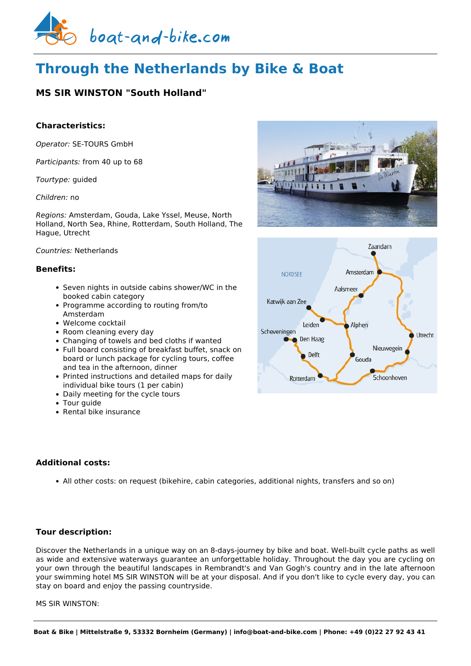

# **Through the Netherlands by Bike & Boat**

# **MS SIR WINSTON "South Holland"**

## **Characteristics:**

*Operator:* [SE-TOURS GmbH](https://www.boat-and-bike.com/operator/se-tours-gmbh.html) 

*Participants:* from 40 up to 68

*Tourtype:* guided

*Children:* no

*Regions:* Amsterdam, Gouda, Lake Yssel, Meuse, North Holland, North Sea, Rhine, Rotterdam, South Holland, The Hague, Utrecht

#### *Countries:* Netherlands

#### **Benefits:**

- Seven nights in outside cabins shower/WC in the booked cabin category
- Programme according to routing from/to Amsterdam
- Welcome cocktail
- Room cleaning every day
- Changing of towels and bed cloths if wanted
- Full board consisting of breakfast buffet, snack on board or lunch package for cycling tours, coffee and tea in the afternoon, dinner
- Printed instructions and detailed maps for daily individual bike tours (1 per cabin)
- Daily meeting for the cycle tours
- Tour quide
- Rental bike insurance

# **Additional costs:**

All other costs: on request (bikehire, cabin categories, additional nights, transfers and so on)

### **Tour description:**

Discover the Netherlands in a unique way on an 8-days-journey by bike and boat. Well-built cycle paths as well as wide and extensive waterways guarantee an unforgettable holiday. Throughout the day you are cycling on your own through the beautiful landscapes in Rembrandt's and Van Gogh's country and in the late afternoon your swimming hotel MS SIR WINSTON will be at your disposal. And if you don't like to cycle every day, you can stay on board and enjoy the passing countryside.

#### MS SIR WINSTON:



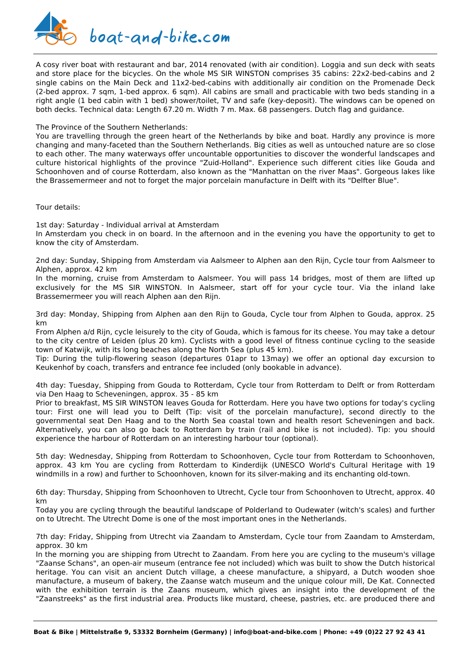

A cosy river boat with restaurant and bar, 2014 renovated (with air condition). Loggia and sun deck with seats and store place for the bicycles. On the whole MS SIR WINSTON comprises 35 cabins: 22x2-bed-cabins and 2 single cabins on the Main Deck and 11x2-bed-cabins with additionally air condition on the Promenade Deck (2-bed approx. 7 sqm, 1-bed approx. 6 sqm). All cabins are small and practicable with two beds standing in a right angle (1 bed cabin with 1 bed) shower/toilet, TV and safe (key-deposit). The windows can be opened on both decks. Technical data: Length 67.20 m. Width 7 m. Max. 68 passengers. Dutch flag and guidance.

#### The Province of the Southern Netherlands:

You are travelling through the green heart of the Netherlands by bike and boat. Hardly any province is more changing and many-faceted than the Southern Netherlands. Big cities as well as untouched nature are so close to each other. The many waterways offer uncountable opportunities to discover the wonderful landscapes and culture historical highlights of the province "Zuid-Holland". Experience such different cities like Gouda and Schoonhoven and of course Rotterdam, also known as the "Manhattan on the river Maas". Gorgeous lakes like the Brassemermeer and not to forget the major porcelain manufacture in Delft with its "Delfter Blue".

Tour details:

1st day: Saturday - Individual arrival at Amsterdam In Amsterdam you check in on board. In the afternoon and in the evening you have the opportunity to get to know the city of Amsterdam.

2nd day: Sunday, Shipping from Amsterdam via Aalsmeer to Alphen aan den Rijn, Cycle tour from Aalsmeer to Alphen, approx. 42 km

In the morning, cruise from Amsterdam to Aalsmeer. You will pass 14 bridges, most of them are lifted up exclusively for the MS SIR WINSTON. In Aalsmeer, start off for your cycle tour. Via the inland lake Brassemermeer you will reach Alphen aan den Rijn.

3rd day: Monday, Shipping from Alphen aan den Rijn to Gouda, Cycle tour from Alphen to Gouda, approx. 25 km

From Alphen a/d Rijn, cycle leisurely to the city of Gouda, which is famous for its cheese. You may take a detour to the city centre of Leiden (plus 20 km). Cyclists with a good level of fitness continue cycling to the seaside town of Katwijk, with its long beaches along the North Sea (plus 45 km).

Tip: During the tulip-flowering season (departures 01apr to 13may) we offer an optional day excursion to Keukenhof by coach, transfers and entrance fee included (only bookable in advance).

4th day: Tuesday, Shipping from Gouda to Rotterdam, Cycle tour from Rotterdam to Delft or from Rotterdam via Den Haag to Scheveningen, approx. 35 - 85 km

Prior to breakfast, MS SIR WINSTON leaves Gouda for Rotterdam. Here you have two options for today's cycling tour: First one will lead you to Delft (Tip: visit of the porcelain manufacture), second directly to the governmental seat Den Haag and to the North Sea coastal town and health resort Scheveningen and back. Alternatively, you can also go back to Rotterdam by train (rail and bike is not included). Tip: you should experience the harbour of Rotterdam on an interesting harbour tour (optional).

5th day: Wednesday, Shipping from Rotterdam to Schoonhoven, Cycle tour from Rotterdam to Schoonhoven, approx. 43 km You are cycling from Rotterdam to Kinderdijk (UNESCO World's Cultural Heritage with 19 windmills in a row) and further to Schoonhoven, known for its silver-making and its enchanting old-town.

6th day: Thursday, Shipping from Schoonhoven to Utrecht, Cycle tour from Schoonhoven to Utrecht, approx. 40 km

Today you are cycling through the beautiful landscape of Polderland to Oudewater (witch's scales) and further on to Utrecht. The Utrecht Dome is one of the most important ones in the Netherlands.

7th day: Friday, Shipping from Utrecht via Zaandam to Amsterdam, Cycle tour from Zaandam to Amsterdam, approx. 30 km

In the morning you are shipping from Utrecht to Zaandam. From here you are cycling to the museum's village "Zaanse Schans", an open-air museum (entrance fee not included) which was built to show the Dutch historical heritage. You can visit an ancient Dutch village, a cheese manufacture, a shipyard, a Dutch wooden shoe manufacture, a museum of bakery, the Zaanse watch museum and the unique colour mill, De Kat. Connected with the exhibition terrain is the Zaans museum, which gives an insight into the development of the "Zaanstreeks" as the first industrial area. Products like mustard, cheese, pastries, etc. are produced there and